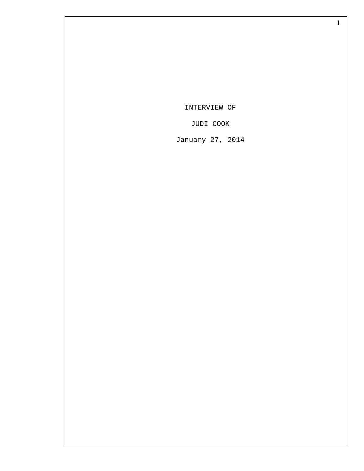INTERVIEW OF

JUDI COOK

January 27, 2014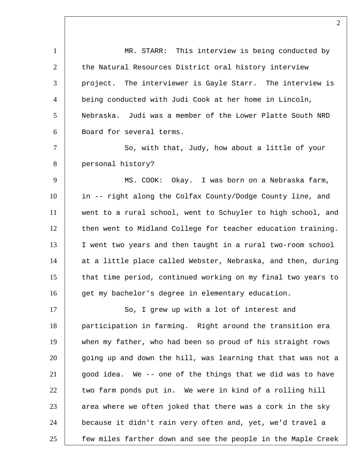1 MR. STARR: This interview is being conducted by 2 the Natural Resources District oral history interview 3 project. The interviewer is Gayle Starr. The interview is 4 being conducted with Judi Cook at her home in Lincoln, 5 Nebraska. Judi was a member of the Lower Platte South NRD 6 Board for several terms. 7 So, with that, Judy, how about a little of your 8 personal history? 9 MS. COOK: Okay. I was born on a Nebraska farm, 10 in -- right along the Colfax County/Dodge County line, and 11 went to a rural school, went to Schuyler to high school, and 12 then went to Midland College for teacher education training. 13 I went two years and then taught in a rural two-room school 14 at a little place called Webster, Nebraska, and then, during 15 that time period, continued working on my final two years to 16 get my bachelor's degree in elementary education. 17 So, I grew up with a lot of interest and 18 participation in farming. Right around the transition era 19 when my father, who had been so proud of his straight rows 20 going up and down the hill, was learning that that was not a  $21$  good idea. We -- one of the things that we did was to have 22 two farm ponds put in. We were in kind of a rolling hill  $23$  area where we often joked that there was a cork in the sky 24 because it didn't rain very often and, yet, we'd travel a 25 Few miles farther down and see the people in the Maple Creek

 $\mathfrak{D}$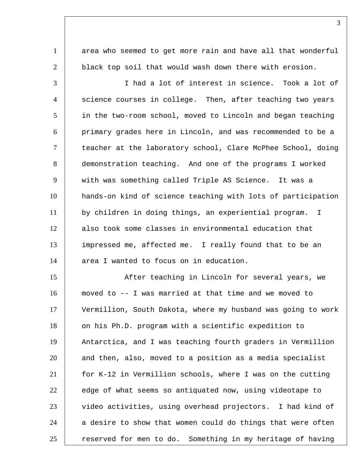1 area who seemed to get more rain and have all that wonderful 2 | black top soil that would wash down there with erosion.

 I had a lot of interest in science. Took a lot of  $\quad$  science courses in college. Then, after teaching two years in the two-room school, moved to Lincoln and began teaching primary grades here in Lincoln, and was recommended to be a teacher at the laboratory school, Clare McPhee School, doing demonstration teaching. And one of the programs I worked with was something called Triple AS Science. It was a hands-on kind of science teaching with lots of participation by children in doing things, an experiential program. I also took some classes in environmental education that impressed me, affected me. I really found that to be an 14 area I wanted to focus on in education.

15 | After teaching in Lincoln for several years, we moved to -- I was married at that time and we moved to Vermillion, South Dakota, where my husband was going to work 18 | on his Ph.D. program with a scientific expedition to Antarctica, and I was teaching fourth graders in Vermillion 20 and then, also, moved to a position as a media specialist for K-12 in Vermillion schools, where I was on the cutting 22 edge of what seems so antiquated now, using videotape to 23 video activities, using overhead projectors. I had kind of a desire to show that women could do things that were often 25 | reserved for men to do. Something in my heritage of having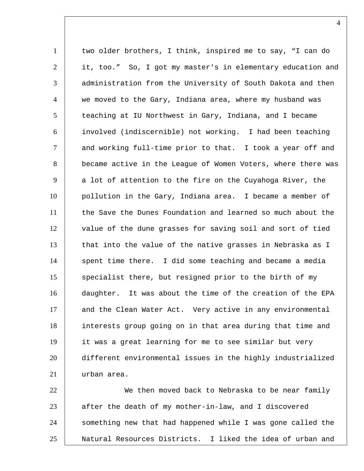1 two older brothers, I think, inspired me to say, "I can do 2 it, too." So, I got my master's in elementary education and 3 administration from the University of South Dakota and then 4 we moved to the Gary, Indiana area, where my husband was 5 teaching at IU Northwest in Gary, Indiana, and I became 6 involved (indiscernible) not working. I had been teaching 7 and working full-time prior to that. I took a year off and 8 became active in the League of Women Voters, where there was  $9$  a lot of attention to the fire on the Cuyahoga River, the 10 pollution in the Gary, Indiana area. I became a member of 11 the Save the Dunes Foundation and learned so much about the 12 | value of the dune grasses for saving soil and sort of tied 13 | that into the value of the native grasses in Nebraska as I 14 | spent time there. I did some teaching and became a media 15 specialist there, but resigned prior to the birth of my 16 daughter. It was about the time of the creation of the EPA 17 and the Clean Water Act. Very active in any environmental 18 | interests group going on in that area during that time and 19 it was a great learning for me to see similar but very 20 different environmental issues in the highly industrialized 21 urban area. 22 We then moved back to Nebraska to be near family

23 after the death of my mother-in-law, and I discovered 24 something new that had happened while I was gone called the 25 Natural Resources Districts. I liked the idea of urban and

 $\Delta$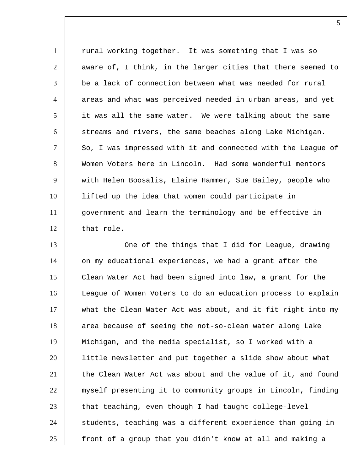1 | rural working together. It was something that I was so 2 aware of, I think, in the larger cities that there seemed to  $\quad$  be a lack of connection between what was needed for rural  $\quad$  areas and what was perceived needed in urban areas, and yet it was all the same water. We were talking about the same streams and rivers, the same beaches along Lake Michigan.  $\vert$  So, I was impressed with it and connected with the League of Women Voters here in Lincoln. Had some wonderful mentors with Helen Boosalis, Elaine Hammer, Sue Bailey, people who lifted up the idea that women could participate in government and learn the terminology and be effective in 12 that role.

13 One of the things that I did for League, drawing 14 on my educational experiences, we had a grant after the Clean Water Act had been signed into law, a grant for the League of Women Voters to do an education process to explain 17 what the Clean Water Act was about, and it fit right into my 18 area because of seeing the not-so-clean water along Lake Michigan, and the media specialist, so I worked with a little newsletter and put together a slide show about what 21 the Clean Water Act was about and the value of it, and found myself presenting it to community groups in Lincoln, finding that teaching, even though I had taught college-level 24 Students, teaching was a different experience than going in 25 Front of a group that you didn't know at all and making a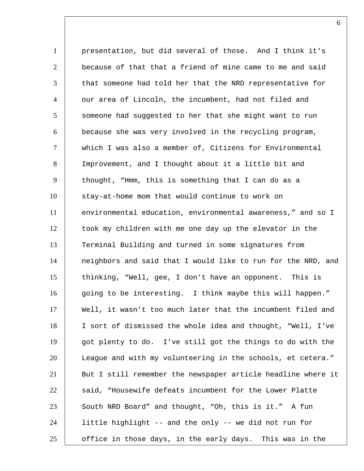presentation, but did several of those. And I think it's  $\vert$  because of that that a friend of mine came to me and said  $\vert$  that someone had told her that the NRD representative for our area of Lincoln, the incumbent, had not filed and 5 someone had suggested to her that she might want to run because she was very involved in the recycling program, which I was also a member of, Citizens for Environmental Improvement, and I thought about it a little bit and 9 thought, "Hmm, this is something that I can do as a 10 stay-at-home mom that would continue to work on environmental education, environmental awareness," and so I took my children with me one day up the elevator in the Terminal Building and turned in some signatures from neighbors and said that I would like to run for the NRD, and thinking, "Well, gee, I don't have an opponent. This is 16 going to be interesting. I think maybe this will happen." Well, it wasn't too much later that the incumbent filed and I sort of dismissed the whole idea and thought, "Well, I've got plenty to do. I've still got the things to do with the League and with my volunteering in the schools, et cetera." 21 | But I still remember the newspaper article headline where it 22 said, "Housewife defeats incumbent for the Lower Platte 23 South NRD Board" and thought, "Oh, this is it." A fun little highlight -- and the only -- we did not run for | office in those days, in the early days. This was in the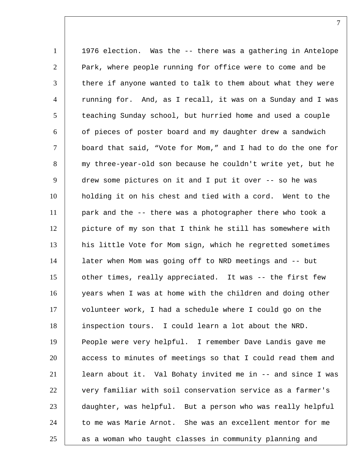1 | 1976 election. Was the -- there was a gathering in Antelope Park, where people running for office were to come and be 3 there if anyone wanted to talk to them about what they were  $|$  running for. And, as I recall, it was on a Sunday and I was teaching Sunday school, but hurried home and used a couple 6 of pieces of poster board and my daughter drew a sandwich board that said, "Vote for Mom," and I had to do the one for my three-year-old son because he couldn't write yet, but he 9 drew some pictures on it and I put it over -- so he was holding it on his chest and tied with a cord. Went to the park and the -- there was a photographer there who took a picture of my son that I think he still has somewhere with 13 | his little Vote for Mom sign, which he regretted sometimes later when Mom was going off to NRD meetings and -- but 15 other times, really appreciated. It was -- the first few years when I was at home with the children and doing other volunteer work, I had a schedule where I could go on the inspection tours. I could learn a lot about the NRD. People were very helpful. I remember Dave Landis gave me 20 access to minutes of meetings so that I could read them and learn about it. Val Bohaty invited me in -- and since I was 22 very familiar with soil conservation service as a farmer's daughter, was helpful. But a person who was really helpful to me was Marie Arnot. She was an excellent mentor for me as a woman who taught classes in community planning and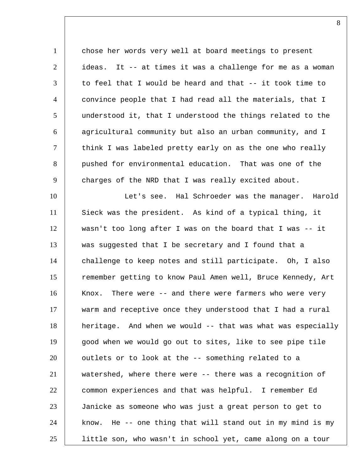1 chose her words very well at board meetings to present | ideas. It -- at times it was a challenge for me as a woman  $\vert$  to feel that I would be heard and that -- it took time to convince people that I had read all the materials, that I understood it, that I understood the things related to the agricultural community but also an urban community, and I  $\vert$  think I was labeled pretty early on as the one who really 8 pushed for environmental education. That was one of the charges of the NRD that I was really excited about. 10 | Let's see. Hal Schroeder was the manager. Harold Sieck was the president. As kind of a typical thing, it wasn't too long after I was on the board that I was -- it was suggested that I be secretary and I found that a challenge to keep notes and still participate. Oh, I also 15 | remember getting to know Paul Amen well, Bruce Kennedy, Art 16 | Knox. There were -- and there were farmers who were very warm and receptive once they understood that I had a rural heritage. And when we would -- that was what was especially good when we would go out to sites, like to see pipe tile 20 | outlets or to look at the -- something related to a watershed, where there were -- there was a recognition of common experiences and that was helpful. I remember Ed Janicke as someone who was just a great person to get to 24 | know. He -- one thing that will stand out in my mind is my little son, who wasn't in school yet, came along on a tour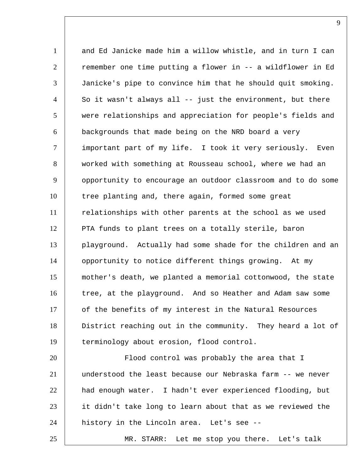and Ed Janicke made him a willow whistle, and in turn I can remember one time putting a flower in -- a wildflower in Ed Janicke's pipe to convince him that he should quit smoking. So it wasn't always all -- just the environment, but there were relationships and appreciation for people's fields and backgrounds that made being on the NRD board a very 7 | important part of my life. I took it very seriously. Even worked with something at Rousseau school, where we had an opportunity to encourage an outdoor classroom and to do some tree planting and, there again, formed some great 11 | relationships with other parents at the school as we used 12 PTA funds to plant trees on a totally sterile, baron playground. Actually had some shade for the children and an 14 | opportunity to notice different things growing. At my mother's death, we planted a memorial cottonwood, the state 16 tree, at the playground. And so Heather and Adam saw some 17 of the benefits of my interest in the Natural Resources District reaching out in the community. They heard a lot of terminology about erosion, flood control. 20 Flood control was probably the area that I understood the least because our Nebraska farm -- we never had enough water. I hadn't ever experienced flooding, but it didn't take long to learn about that as we reviewed the 24 history in the Lincoln area. Let's see --

MR. STARR: Let me stop you there. Let's talk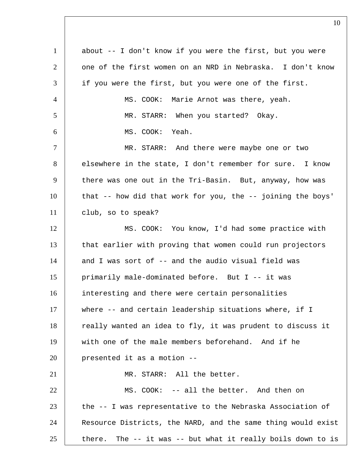| $\mathbf{1}$   | about -- I don't know if you were the first, but you were      |
|----------------|----------------------------------------------------------------|
| 2              | one of the first women on an NRD in Nebraska. I don't know     |
| 3              | if you were the first, but you were one of the first.          |
| $\overline{4}$ | MS. COOK: Marie Arnot was there, yeah.                         |
| 5              | MR. STARR: When you started? Okay.                             |
| 6              | MS. COOK: Yeah.                                                |
| $\tau$         | MR. STARR: And there were maybe one or two                     |
| 8              | elsewhere in the state, I don't remember for sure. I know      |
| 9              | there was one out in the Tri-Basin. But, anyway, how was       |
| 10             | that -- how did that work for you, the -- joining the boys'    |
| 11             | club, so to speak?                                             |
| 12             | MS. COOK: You know, I'd had some practice with                 |
| 13             | that earlier with proving that women could run projectors      |
| 14             | and I was sort of -- and the audio visual field was            |
| 15             | primarily male-dominated before. But I -- it was               |
| 16             | interesting and there were certain personalities               |
| 17             | where -- and certain leadership situations where, if I         |
| 18             | really wanted an idea to fly, it was prudent to discuss it     |
| 19             | with one of the male members beforehand. And if he             |
| 20             | presented it as a motion --                                    |
| 21             | MR. STARR: All the better.                                     |
| 22             | MS. COOK: -- all the better. And then on                       |
| 23             | the -- I was representative to the Nebraska Association of     |
| 24             | Resource Districts, the NARD, and the same thing would exist   |
| 25             | The -- it was -- but what it really boils down to is<br>there. |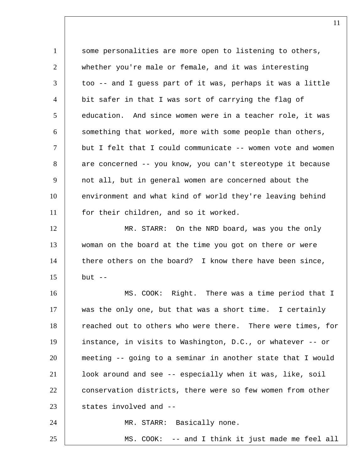1 some personalities are more open to listening to others, 2 whether you're male or female, and it was interesting 3 too -- and I guess part of it was, perhaps it was a little 4 bit safer in that I was sort of carrying the flag of 5 education. And since women were in a teacher role, it was 6 something that worked, more with some people than others, 7 | but I felt that I could communicate -- women vote and women 8 are concerned -- you know, you can't stereotype it because 9 not all, but in general women are concerned about the 10 environment and what kind of world they're leaving behind 11 | for their children, and so it worked. 12 | MR. STARR: On the NRD board, was you the only 13 woman on the board at the time you got on there or were 14 there others on the board? I know there have been since,  $15$  but  $-$ 16 MS. COOK: Right. There was a time period that I 17 was the only one, but that was a short time. I certainly 18 reached out to others who were there. There were times, for 19 instance, in visits to Washington, D.C., or whatever -- or 20 meeting -- going to a seminar in another state that I would 21 look around and see -- especially when it was, like, soil 22 conservation districts, there were so few women from other  $23$  states involved and  $-$ 24 | MR. STARR: Basically none. 25 MS. COOK: -- and I think it just made me feel all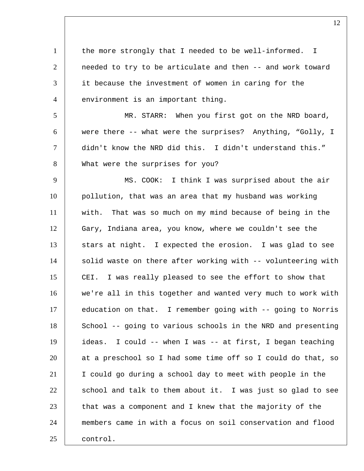1 | the more strongly that I needed to be well-informed. I 2 | needed to try to be articulate and then -- and work toward 3 it because the investment of women in caring for the 4 environment is an important thing.

 MR. STARR: When you first got on the NRD board, were there -- what were the surprises? Anything, "Golly, I didn't know the NRD did this. I didn't understand this." 8 What were the surprises for you?

9 | MS. COOK: I think I was surprised about the air 10 pollution, that was an area that my husband was working 11 with. That was so much on my mind because of being in the 12 Gary, Indiana area, you know, where we couldn't see the 13 stars at night. I expected the erosion. I was glad to see 14 | solid waste on there after working with -- volunteering with 15 CEI. I was really pleased to see the effort to show that 16 we're all in this together and wanted very much to work with 17 education on that. I remember going with -- going to Norris 18 School -- going to various schools in the NRD and presenting 19 ideas. I could -- when I was -- at first, I began teaching 20 at a preschool so I had some time off so I could do that, so 21 I could go during a school day to meet with people in the  $22$  school and talk to them about it. I was just so glad to see  $23$  that was a component and I knew that the majority of the 24 members came in with a focus on soil conservation and flood 25 control.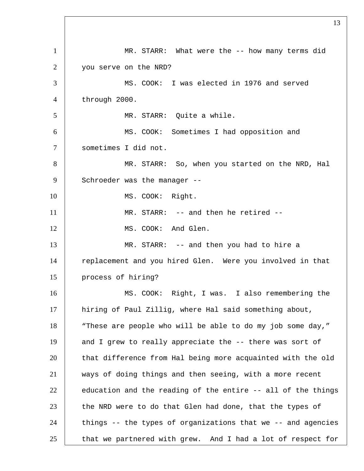1 MR. STARR: What were the -- how many terms did you serve on the NRD? MS. COOK: I was elected in 1976 and served through 2000. MR. STARR: Quite a while. MS. COOK: Sometimes I had opposition and sometimes I did not. MR. STARR: So, when you started on the NRD, Hal 9 Schroeder was the manager --10 MS. COOK: Right. 11 MR. STARR: -- and then he retired --12 | MS. COOK: And Glen. 13 MR. STARR: -- and then you had to hire a 14 Teplacement and you hired Glen. Were you involved in that process of hiring? MS. COOK: Right, I was. I also remembering the hiring of Paul Zillig, where Hal said something about, 18 | "These are people who will be able to do my job some day," 19 and I grew to really appreciate the -- there was sort of 20 that difference from Hal being more acquainted with the old ways of doing things and then seeing, with a more recent education and the reading of the entire  $-$ - all of the things the NRD were to do that Glen had done, that the types of things -- the types of organizations that we -- and agencies that we partnered with grew. And I had a lot of respect for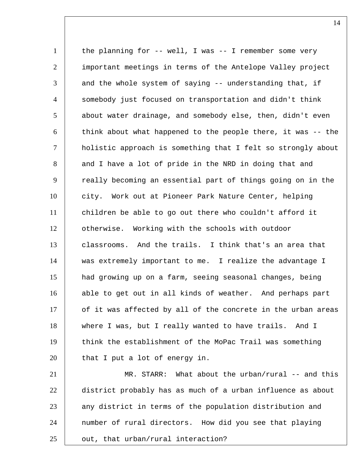1 | the planning for -- well, I was -- I remember some very 2 important meetings in terms of the Antelope Valley project  $3$  and the whole system of saying -- understanding that, if 4 somebody just focused on transportation and didn't think 5 about water drainage, and somebody else, then, didn't even  $6$  think about what happened to the people there, it was  $-$ -the 7 holistic approach is something that I felt so strongly about 8 and I have a lot of pride in the NRD in doing that and 9 Teally becoming an essential part of things going on in the 10 city. Work out at Pioneer Park Nature Center, helping 11 children be able to go out there who couldn't afford it 12 otherwise. Working with the schools with outdoor 13 classrooms. And the trails. I think that's an area that 14 was extremely important to me. I realize the advantage I 15 had growing up on a farm, seeing seasonal changes, being 16 able to get out in all kinds of weather. And perhaps part 17 of it was affected by all of the concrete in the urban areas 18 | where I was, but I really wanted to have trails. And I 19 think the establishment of the MoPac Trail was something 20 | that I put a lot of energy in.

21 MR. STARR: What about the urban/rural -- and this 22 district probably has as much of a urban influence as about 23 any district in terms of the population distribution and 24 | number of rural directors. How did you see that playing 25 | out, that urban/rural interaction?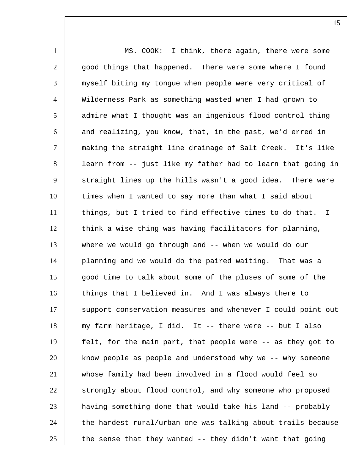1 | MS. COOK: I think, there again, there were some  $2$   $|$  good things that happened. There were some where I found 3 myself biting my tongue when people were very critical of 4 Wilderness Park as something wasted when I had grown to 5 | admire what I thought was an ingenious flood control thing  $6$  and realizing, you know, that, in the past, we'd erred in 7 making the straight line drainage of Salt Creek. It's like 8 | learn from -- just like my father had to learn that going in 9 straight lines up the hills wasn't a good idea. There were 10 times when I wanted to say more than what I said about 11 things, but I tried to find effective times to do that. I 12 think a wise thing was having facilitators for planning, 13 where we would go through and -- when we would do our 14 planning and we would do the paired waiting. That was a 15 | good time to talk about some of the pluses of some of the 16 things that I believed in. And I was always there to 17 Support conservation measures and whenever I could point out 18 my farm heritage, I did. It -- there were -- but I also 19 felt, for the main part, that people were -- as they got to 20 know people as people and understood why we -- why someone 21 whose family had been involved in a flood would feel so 22 Strongly about flood control, and why someone who proposed 23 having something done that would take his land -- probably  $24$  the hardest rural/urban one was talking about trails because 25 the sense that they wanted  $-$  they didn't want that going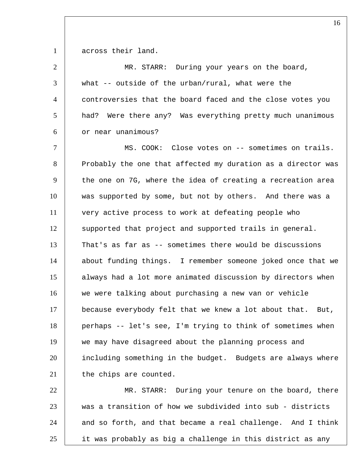1 across their land.

| $\overline{2}$  | MR. STARR: During your years on the board,                    |
|-----------------|---------------------------------------------------------------|
| 3               | what -- outside of the urban/rural, what were the             |
| $\overline{4}$  | controversies that the board faced and the close votes you    |
| $5\overline{)}$ | Were there any? Was everything pretty much unanimous<br>had?  |
| 6               | or near unanimous?                                            |
| $\tau$          | MS. COOK: Close votes on -- sometimes on trails.              |
| 8               | Probably the one that affected my duration as a director was  |
| 9               | the one on 7G, where the idea of creating a recreation area   |
| 10              | was supported by some, but not by others. And there was a     |
| 11              | very active process to work at defeating people who           |
| 12              | supported that project and supported trails in general.       |
| 13              | That's as far as -- sometimes there would be discussions      |
| 14              | about funding things. I remember someone joked once that we   |
| 15              | always had a lot more animated discussion by directors when   |
| 16              | we were talking about purchasing a new van or vehicle         |
| 17              | because everybody felt that we knew a lot about that.<br>But, |
| 18              | perhaps -- let's see, I'm trying to think of sometimes when   |
| 19              | we may have disagreed about the planning process and          |
| 20              | including something in the budget. Budgets are always where   |
| 21              | the chips are counted.                                        |
| 22              | MR. STARR: During your tenure on the board, there             |
| 23              | was a transition of how we subdivided into sub - districts    |
| 24              | and so forth, and that became a real challenge. And I think   |

25 it was probably as big a challenge in this district as any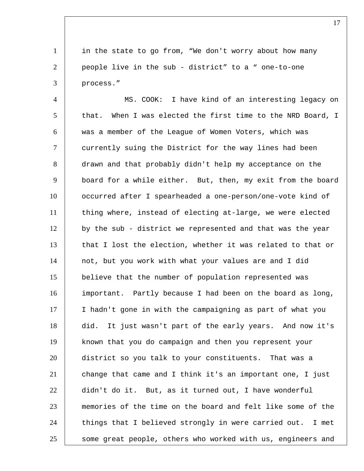1 in the state to go from, "We don't worry about how many people live in the sub - district" to a " one-to-one process."

 MS. COOK: I have kind of an interesting legacy on 5 that. When I was elected the first time to the NRD Board, I was a member of the League of Women Voters, which was currently suing the District for the way lines had been drawn and that probably didn't help my acceptance on the board for a while either. But, then, my exit from the board occurred after I spearheaded a one-person/one-vote kind of 11 | thing where, instead of electing at-large, we were elected 12 by the sub - district we represented and that was the year 13 that I lost the election, whether it was related to that or not, but you work with what your values are and I did believe that the number of population represented was important. Partly because I had been on the board as long, I hadn't gone in with the campaigning as part of what you did. It just wasn't part of the early years. And now it's known that you do campaign and then you represent your district so you talk to your constituents. That was a 21 change that came and I think it's an important one, I just didn't do it. But, as it turned out, I have wonderful memories of the time on the board and felt like some of the 24 things that I believed strongly in were carried out. I met 25 Some great people, others who worked with us, engineers and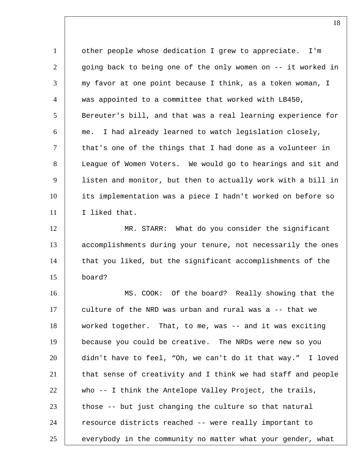1 | other people whose dedication I grew to appreciate. I'm 2 qoing back to being one of the only women on -- it worked in my favor at one point because I think, as a token woman, I was appointed to a committee that worked with LB450, 5 Bereuter's bill, and that was a real learning experience for me. I had already learned to watch legislation closely,  $\vert$  that's one of the things that I had done as a volunteer in League of Women Voters. We would go to hearings and sit and listen and monitor, but then to actually work with a bill in its implementation was a piece I hadn't worked on before so I liked that. 12 | MR. STARR: What do you consider the significant accomplishments during your tenure, not necessarily the ones 14 | that you liked, but the significant accomplishments of the board? MS. COOK: Of the board? Really showing that the 17 culture of the NRD was urban and rural was a -- that we

 worked together. That, to me, was -- and it was exciting because you could be creative. The NRDs were new so you didn't have to feel, "Oh, we can't do it that way." I loved that sense of creativity and I think we had staff and people who -- I think the Antelope Valley Project, the trails, those  $-5$  but just changing the culture so that natural 24 | resource districts reached -- were really important to 25 everybody in the community no matter what your gender, what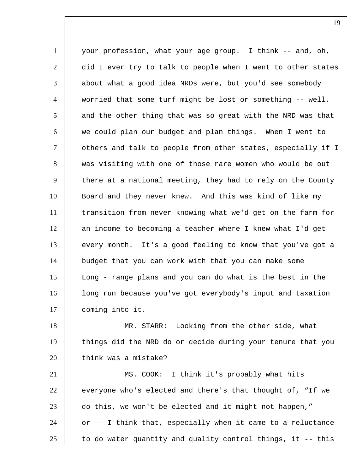1 your profession, what your age group. I think -- and, oh, 2 did I ever try to talk to people when I went to other states  $3$  about what a good idea NRDs were, but you'd see somebody 4 worried that some turf might be lost or something -- well,  $5$  and the other thing that was so great with the NRD was that 6 we could plan our budget and plan things. When I went to 7 | others and talk to people from other states, especially if I 8 was visiting with one of those rare women who would be out 9 there at a national meeting, they had to rely on the County 10 Board and they never knew. And this was kind of like my 11 | transition from never knowing what we'd get on the farm for 12 an income to becoming a teacher where I knew what I'd get 13 every month. It's a good feeling to know that you've got a 14 budget that you can work with that you can make some 15 Long - range plans and you can do what is the best in the 16 | long run because you've got everybody's input and taxation 17 coming into it.

18 MR. STARR: Looking from the other side, what 19 things did the NRD do or decide during your tenure that you 20 think was a mistake?

21 | MS. COOK: I think it's probably what hits  $22$  everyone who's elected and there's that thought of, "If we 23 do this, we won't be elected and it might not happen," 24 or -- I think that, especially when it came to a reluctance 25  $\vert$  to do water quantity and quality control things, it -- this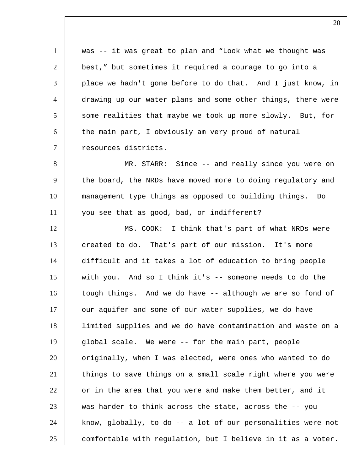was -- it was great to plan and "Look what we thought was best," but sometimes it required a courage to go into a place we hadn't gone before to do that. And I just know, in drawing up our water plans and some other things, there were some realities that maybe we took up more slowly. But, for 6 the main part, I obviously am very proud of natural 7 | resources districts. MR. STARR: Since -- and really since you were on 9 the board, the NRDs have moved more to doing regulatory and management type things as opposed to building things. Do you see that as good, bad, or indifferent? 12 | MS. COOK: I think that's part of what NRDs were 13 created to do. That's part of our mission. It's more difficult and it takes a lot of education to bring people with you. And so I think it's -- someone needs to do the 16 | tough things. And we do have -- although we are so fond of 17 our aquifer and some of our water supplies, we do have limited supplies and we do have contamination and waste on a global scale. We were -- for the main part, people originally, when I was elected, were ones who wanted to do things to save things on a small scale right where you were or in the area that you were and make them better, and it was harder to think across the state, across the  $-$ - you 24 | know, globally, to do -- a lot of our personalities were not comfortable with regulation, but I believe in it as a voter.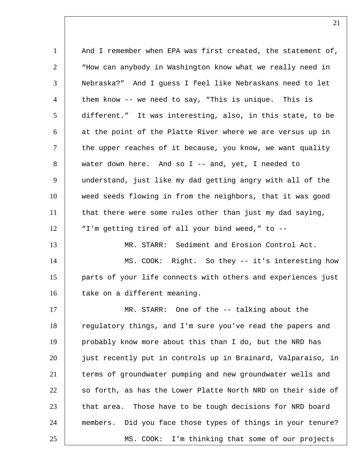1 | And I remember when EPA was first created, the statement of, 2 | Whow can anybody in Washington know what we really need in Nebraska?" And I guess I feel like Nebraskans need to let 4 | them know -- we need to say, "This is unique. This is different." It was interesting, also, in this state, to be 6 at the point of the Platte River where we are versus up in 7 | the upper reaches of it because, you know, we want quality water down here. And so I -- and, yet, I needed to understand, just like my dad getting angry with all of the weed seeds flowing in from the neighbors, that it was good 11 | that there were some rules other than just my dad saying, "I'm getting tired of all your bind weed," to -- MR. STARR: Sediment and Erosion Control Act. 14 | MS. COOK: Right. So they -- it's interesting how parts of your life connects with others and experiences just 16 take on a different meaning. MR. STARR: One of the -- talking about the 18 | regulatory things, and I'm sure you've read the papers and probably know more about this than I do, but the NRD has just recently put in controls up in Brainard, Valparaiso, in terms of groundwater pumping and new groundwater wells and so forth, as has the Lower Platte North NRD on their side of 23 that area. Those have to be tough decisions for NRD board members. Did you face those types of things in your tenure? MS. COOK: I'm thinking that some of our projects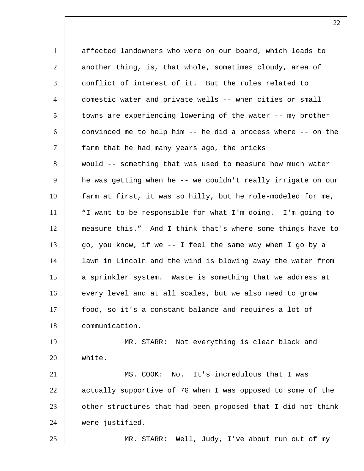1 affected landowners who were on our board, which leads to 2 another thing, is, that whole, sometimes cloudy, area of 3 conflict of interest of it. But the rules related to 4 domestic water and private wells -- when cities or small 5 towns are experiencing lowering of the water -- my brother  $6$  convinced me to help him  $-$  he did a process where  $-$  on the 7 farm that he had many years ago, the bricks 8 would -- something that was used to measure how much water 9 he was getting when he -- we couldn't really irrigate on our 10 farm at first, it was so hilly, but he role-modeled for me, 11 | "I want to be responsible for what I'm doing. I'm going to 12 measure this." And I think that's where some things have to 13 go, you know, if we -- I feel the same way when I go by a 14 lawn in Lincoln and the wind is blowing away the water from 15 a sprinkler system. Waste is something that we address at 16 every level and at all scales, but we also need to grow 17 food, so it's a constant balance and requires a lot of 18 communication. 19 MR. STARR: Not everything is clear black and 20 white. 21 | MS. COOK: No. It's incredulous that I was 22 | actually supportive of 7G when I was opposed to some of the 23 other structures that had been proposed that I did not think 24 were justified. 25 MR. STARR: Well, Judy, I've about run out of my